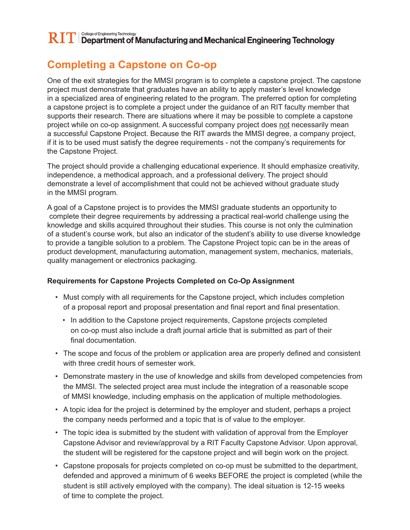## **Completing a Capstone on Co-op**

One of the exit strategies for the MMSI program is to complete a capstone project. The capstone project must demonstrate that graduates have an ability to apply master's level knowledge in a specialized area of engineering related to the program. The preferred option for completing a capstone project is to complete a project under the guidance of an RIT faculty member that supports their research. There are situations where it may be possible to complete a capstone project while on co-op assignment. A successful company project does not necessarily mean a successful Capstone Project. Because the RIT awards the MMSI degree, a company project, if it is to be used must satisfy the degree requirements - not the company's requirements for the Capstone Project.

The project should provide a challenging educational experience. It should emphasize creativity, independence, a methodical approach, and a professional delivery. The project should demonstrate a level of accomplishment that could not be achieved without graduate study in the MMSI program.

A goal of a Capstone project is to provides the MMSI graduate students an opportunity to complete their degree requirements by addressing a practical real-world challenge using the knowledge and skills acquired throughout their studies. This course is not only the culmination of a student's course work, but also an indicator of the student's ability to use diverse knowledge to provide a tangible solution to a problem. The Capstone Project topic can be in the areas of product development, manufacturing automation, management system, mechanics, materials, quality management or electronics packaging.

## **Requirements for Capstone Projects Completed on Co-Op Assignment**

- Must comply with all requirements for the Capstone project, which includes completion of a proposal report and proposal presentation and final report and final presentation.
	- In addition to the Capstone project requirements, Capstone projects completed on co-op must also include a draft journal article that is submitted as part of their final documentation.
- The scope and focus of the problem or application area are properly defined and consistent with three credit hours of semester work.
- Demonstrate mastery in the use of knowledge and skills from developed competencies from the MMSI. The selected project area must include the integration of a reasonable scope of MMSI knowledge, including emphasis on the application of multiple methodologies.
- A topic idea for the project is determined by the employer and student, perhaps a project the company needs performed and a topic that is of value to the employer.
- The topic idea is submitted by the student with validation of approval from the Employer Capstone Advisor and review/approval by a RIT Faculty Capstone Advisor. Upon approval, the student will be registered for the capstone project and will begin work on the project.
- Capstone proposals for projects completed on co-op must be submitted to the department, defended and approved a minimum of 6 weeks BEFORE the project is completed (while the student is still actively employed with the company). The ideal situation is 12-15 weeks of time to complete the project.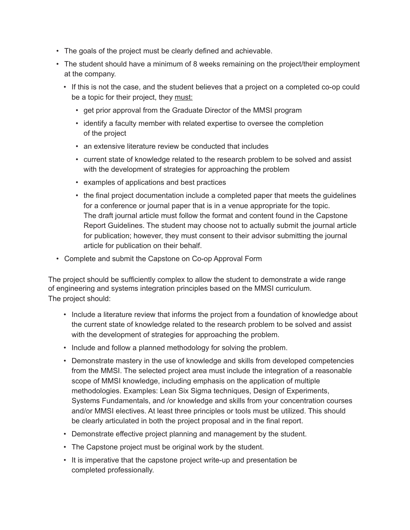- The goals of the project must be clearly defined and achievable.
- The student should have a minimum of 8 weeks remaining on the project/their employment at the company.
	- If this is not the case, and the student believes that a project on a completed co-op could be a topic for their project, they must:
		- get prior approval from the Graduate Director of the MMSI program
		- identify a faculty member with related expertise to oversee the completion of the project
		- an extensive literature review be conducted that includes
		- current state of knowledge related to the research problem to be solved and assist with the development of strategies for approaching the problem
		- examples of applications and best practices
		- the final project documentation include a completed paper that meets the guidelines for a conference or journal paper that is in a venue appropriate for the topic. The draft journal article must follow the format and content found in the Capstone Report Guidelines. The student may choose not to actually submit the journal article for publication; however, they must consent to their advisor submitting the journal article for publication on their behalf.
- Complete and submit the Capstone on Co-op Approval Form

The project should be sufficiently complex to allow the student to demonstrate a wide range of engineering and systems integration principles based on the MMSI curriculum. The project should:

- Include a literature review that informs the project from a foundation of knowledge about the current state of knowledge related to the research problem to be solved and assist with the development of strategies for approaching the problem.
- Include and follow a planned methodology for solving the problem.
- Demonstrate mastery in the use of knowledge and skills from developed competencies from the MMSI. The selected project area must include the integration of a reasonable scope of MMSI knowledge, including emphasis on the application of multiple methodologies. Examples: Lean Six Sigma techniques, Design of Experiments, Systems Fundamentals, and /or knowledge and skills from your concentration courses and/or MMSI electives. At least three principles or tools must be utilized. This should be clearly articulated in both the project proposal and in the final report.
- Demonstrate effective project planning and management by the student.
- The Capstone project must be original work by the student.
- It is imperative that the capstone project write-up and presentation be completed professionally.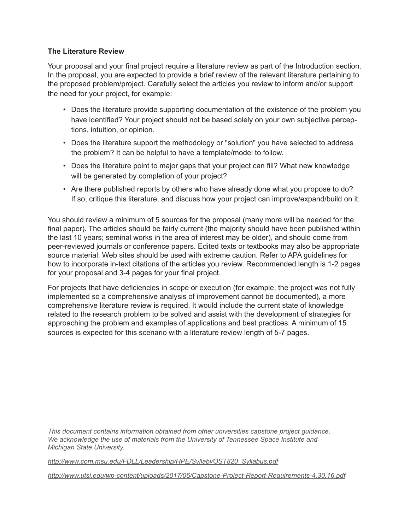## **The Literature Review**

Your proposal and your final project require a literature review as part of the Introduction section. In the proposal, you are expected to provide a brief review of the relevant literature pertaining to the proposed problem/project. Carefully select the articles you review to inform and/or support the need for your project, for example:

- Does the literature provide supporting documentation of the existence of the problem you have identified? Your project should not be based solely on your own subjective perceptions, intuition, or opinion.
- Does the literature support the methodology or "solution" you have selected to address the problem? It can be helpful to have a template/model to follow.
- Does the literature point to major gaps that your project can fill? What new knowledge will be generated by completion of your project?
- Are there published reports by others who have already done what you propose to do? If so, critique this literature, and discuss how your project can improve/expand/build on it.

You should review a minimum of 5 sources for the proposal (many more will be needed for the final paper). The articles should be fairly current (the majority should have been published within the last 10 years; seminal works in the area of interest may be older), and should come from peer-reviewed journals or conference papers. Edited texts or textbooks may also be appropriate source material. Web sites should be used with extreme caution. Refer to APA guidelines for how to incorporate in-text citations of the articles you review. Recommended length is 1-2 pages for your proposal and 3-4 pages for your final project.

For projects that have deficiencies in scope or execution (for example, the project was not fully implemented so a comprehensive analysis of improvement cannot be documented), a more comprehensive literature review is required. It would include the current state of knowledge related to the research problem to be solved and assist with the development of strategies for approaching the problem and examples of applications and best practices. A minimum of 15 sources is expected for this scenario with a literature review length of 5-7 pages.

*This document contains information obtained from other universities capstone project guidance. We acknowledge the use of materials from the University of Tennessee Space Institute and Michigan State University.*

*http://www.com.msu.edu/FDLL/Leadership/HPE/Syllabi/OST820\_Syllabus.pdf*

*http://www.utsi.edu/wp-content/uploads/2017/06/Capstone-Project-Report-Requirements-4.30.16.pdf*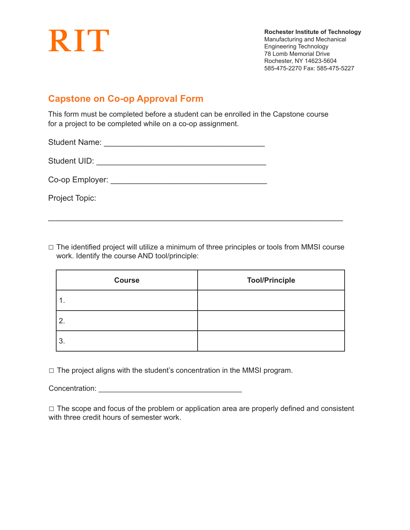

**Rochester Institute of Technology** Manufacturing and Mechanical Engineering Technology 78 Lomb Memorial Drive Rochester, NY 14623-5604 585-475-2270 Fax: 585-475-5227

## **Capstone on Co-op Approval Form**

This form must be completed before a student can be enrolled in the Capstone course for a project to be completed while on a co-op assignment.

Student Name: \_\_\_\_\_\_\_\_\_\_\_\_\_\_\_\_\_\_\_\_\_\_\_\_\_\_\_\_\_\_\_\_\_\_\_\_

Student UID:  $\blacksquare$ 

Co-op Employer: \_\_\_\_\_\_\_\_\_\_\_\_\_\_\_\_\_\_\_\_\_\_\_\_\_\_\_\_\_\_\_\_\_\_\_

Project Topic:

 $\Box$  The identified project will utilize a minimum of three principles or tools from MMSI course work. Identify the course AND tool/principle:

 $\overline{\phantom{a}}$  , and the contribution of the contribution of the contribution of the contribution of the contribution of the contribution of the contribution of the contribution of the contribution of the contribution of the

| <b>Course</b> | <b>Tool/Principle</b> |
|---------------|-----------------------|
|               |                       |
| 2.            |                       |
| 3.            |                       |

 $\Box$  The project aligns with the student's concentration in the MMSI program.

Concentration: \_\_\_\_\_\_\_\_\_\_\_\_\_\_\_\_\_\_\_\_\_\_\_\_\_\_\_\_\_\_\_\_\_\_\_

□ The scope and focus of the problem or application area are properly defined and consistent with three credit hours of semester work.